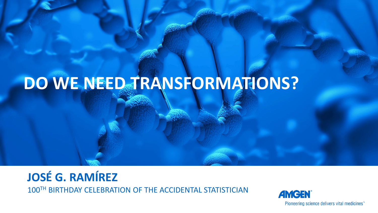# **DO WE NEED TRANSFORMATIONS?**

## **JOSÉ G. RAMÍREZ**

100TH BIRTHDAY CELEBRATION OF THE ACCIDENTAL STATISTICIAN



Pioneering science delivers vital medicines"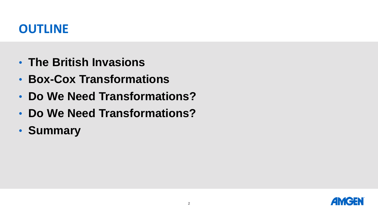- **The British Invasions**
- **Box-Cox Transformations**
- **Do We Need Transformations?**
- **Do We Need Transformations?**
- **Summary**

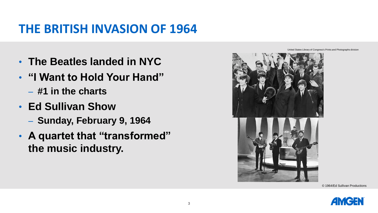#### **THE BRITISH INVASION OF 1964**

- **The Beatles landed in NYC**
- **"I Want to Hold Your Hand"** 
	- **#1 in the charts**
- **Ed Sullivan Show**
	- **Sunday, February 9, 1964**
- **A quartet that "transformed" the music industry.**



United States Library of Congress's Prints and Photographs division



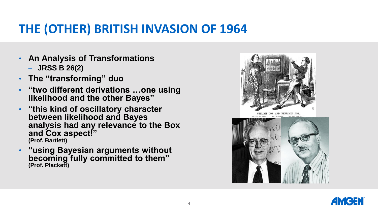#### **THE (OTHER) BRITISH INVASION OF 1964**

- **An Analysis of Transformations**
	- **JRSS B 26(2)**
- **The "transforming" duo**
- **"two different derivations …one using likelihood and the other Bayes"**
- **"this kind of oscillatory character between likelihood and Bayes analysis had any relevance to the Box and Cox aspect!" (Prof. Bartlett)**
- **"using Bayesian arguments without becoming fully committed to them" (Prof. Plackett)**



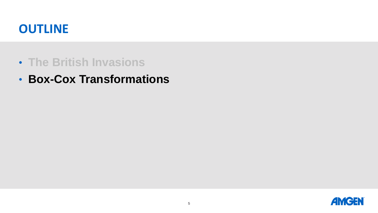- **The British Invasions**
- **Box-Cox Transformations**

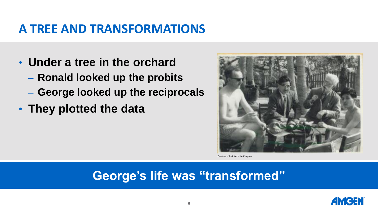#### **A TREE AND TRANSFORMATIONS**

- **Under a tree in the orchard**
	- **Ronald looked up the probits**
	- **George looked up the reciprocals**
- **They plotted the data**



Courtesy of Prof. Genshiro Kitagawa

#### **George's life was "transformed"**

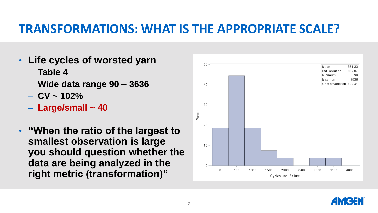#### **TRANSFORMATIONS: WHAT IS THE APPROPRIATE SCALE?**

- **Life cycles of worsted yarn**
	- **Table 4**
	- **Wide data range 90 – 3636**
	- **CV ~ 102%**
	- **Large/small ~ 40**
- **"When the ratio of the largest to smallest observation is large you should question whether the data are being analyzed in the right metric (transformation)"**



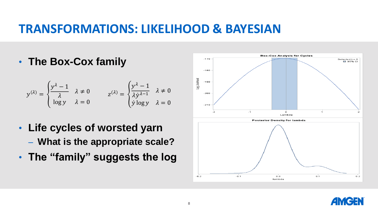#### **TRANSFORMATIONS: LIKELIHOOD & BAYESIAN**

• **The Box-Cox family**

$$
y^{(\lambda)} = \begin{cases} \frac{y^{\lambda} - 1}{\lambda} & \lambda \neq 0 \\ \log y & \lambda = 0 \end{cases} \qquad z^{(\lambda)} = \begin{cases} \frac{y^{\lambda} - 1}{\lambda y^{\lambda - 1}} & \lambda \neq 0 \\ y \log y & \lambda = 0 \end{cases}
$$

- **Life cycles of worsted yarn** – **What is the appropriate scale?**
- **The "family" suggests the log**



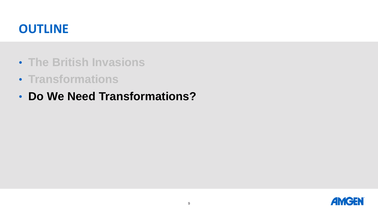- **The British Invasions**
- **Transformations**
- **Do We Need Transformations?**

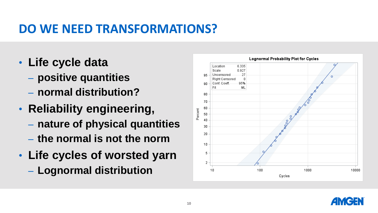#### **DO WE NEED TRANSFORMATIONS?**

- **Life cycle data**
	- **positive quantities**
	- **normal distribution?**
- **Reliability engineering,** 
	- **nature of physical quantities**
	- **the normal is not the norm**
- **Life cycles of worsted yarn**
	- **Lognormal distribution**



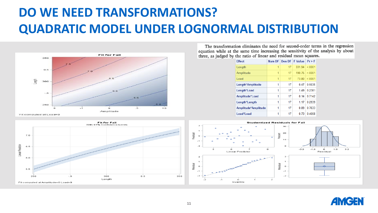## **DO WE NEED TRANSFORMATIONS? QUADRATIC MODEL UNDER LOGNORMAL DISTRIBUTION**





The transformation eliminates the need for second-order terms in the regression equation while at the same time increasing the sensitivity of the analysis by about three, as judged by the ratio of linear and residual mean squares.

| <b>Fffect</b>       |   |    | Num DE   Den DE   E Value | Pr > F |
|---------------------|---|----|---------------------------|--------|
| Length              | 1 | 17 | 331 94                    | < 0001 |
| Amplitude           | 1 | 17 | 190 75                    | < 0001 |
| Load                | 1 | 17 | 73.80                     | < 0001 |
| Length*Amplitude    | 1 | 17 | 047                       | 0.5035 |
| Length*Load         | 1 | 17 | 149                       | 0 2381 |
| Amplitude*Load      | 1 | 17 | 0.14                      | 0 7142 |
| Length*Length       | 1 | 17 | 1 17                      | 0 2939 |
| Amplitude*Amplitude | 1 | 17 | 0.09                      | 0 7633 |
| beo l*beo l         | 1 | 17 | 0.73                      | 0.4058 |



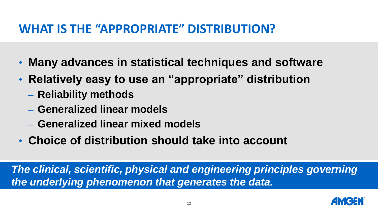#### **WHAT IS THE "APPROPRIATE" DISTRIBUTION?**

- **Many advances in statistical techniques and software**
- **Relatively easy to use an "appropriate" distribution**
	- **Reliability methods**
	- **Generalized linear models**
	- **Generalized linear mixed models**
- **Choice of distribution should take into account**

*The clinical, scientific, physical and engineering principles governing the underlying phenomenon that generates the data.*

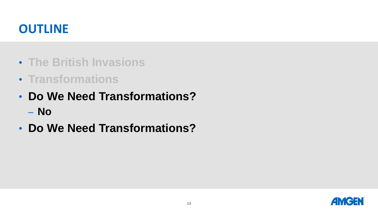- **The British Invasions**
- **Transformations**
- **Do We Need Transformations?**
	- **No**
- **Do We Need Transformations?**

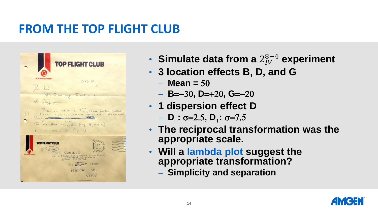#### **FROM THE TOP FLIGHT CLUB**



- **Simulate data from a** 2 8−4 **experiment**
- **3 location effects B, D, and G**
	- $-$  **Mean = 50**
	- **B**=-30**, D**=+20**, G**=-20
- **1 dispersion effect D**
	- **D :** s=2.5**, D**<sup>+</sup> **:** s=7.5
- **The reciprocal transformation was the appropriate scale.**
- **Will a lambda plot suggest the appropriate transformation?**
	- **Simplicity and separation**

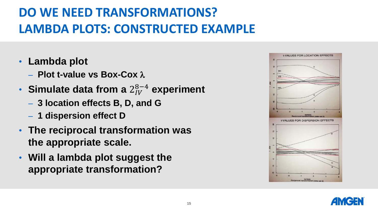## **DO WE NEED TRANSFORMATIONS? LAMBDA PLOTS: CONSTRUCTED EXAMPLE**

- **Lambda plot**
	- **Plot t-value vs Box-Cox**
- **Simulate data from a** 2 8−4 **experiment**
	- **3 location effects B, D, and G**
	- **1 dispersion effect D**
- **The reciprocal transformation was the appropriate scale.**
- **Will a lambda plot suggest the appropriate transformation?**



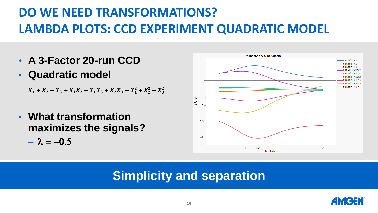## **DO WE NEED TRANSFORMATIONS? LAMBDA PLOTS: CCD EXPERIMENT QUADRATIC MODEL**

- **A 3-Factor 20-run CCD**
- **Quadratic model**

 $X_1 + X_2 + X_3 + X_1X_2 + X_1X_3 + X_2X_3 + X_1^2 + X_2^2 + X_3^2$ 

• **What transformation maximizes the signals?**

 $-\lambda = -0.5$ 



#### **Simplicity and separation**

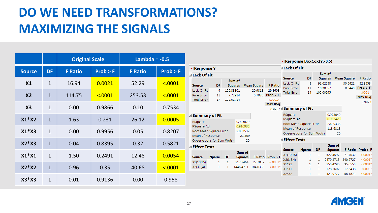### **DO WE NEED TRANSFORMATIONS? MAXIMIZING THE SIGNALS**

|                |              | <b>Original Scale</b> |          | Lambda = $-0.5$ |          |  |  |
|----------------|--------------|-----------------------|----------|-----------------|----------|--|--|
| <b>Source</b>  | <b>DF</b>    | <b>F</b> Ratio        | Prob > F | <b>F</b> Ratio  | Prob > F |  |  |
| X <sub>1</sub> | 1            | 16.94                 | 0.0021   | 52.29           | < .0001  |  |  |
| X <sub>2</sub> | $\mathbf{1}$ | 114.75                | < .0001  | 253.53          | < 0.0001 |  |  |
| X <sub>3</sub> | 1            | 0.00                  | 0.9866   | 0.10            | 0.7534   |  |  |
| $X1*X2$        | $\mathbf{1}$ | 1.63                  | 0.231    | 26.12           | 0.0005   |  |  |
| $X1*X3$        | 1            | 0.00                  | 0.9956   | 0.05            | 0.8207   |  |  |
| $X2*X3$        | $\mathbf{1}$ | 0.04                  | 0.8395   | 0.32            | 0.5821   |  |  |
| $X1*X1$        | 1            | 1.50                  | 0.2491   | 12.48           | 0.0054   |  |  |
| $X2*X2$        | $\mathbf{1}$ | 0.96                  | 0.35     | 40.68           | < 0.0001 |  |  |
| $X3*X3$        | $\mathbf{1}$ | 0.01                  | 0.9136   | 0.00            | 0.958    |  |  |

|                                                                                                                                    |               |        |                                   |                     |                                                                                                    | ▼ Response BoxCox(Y,-0.5)                                             |              |                                              |                          |                                             |                          |  |
|------------------------------------------------------------------------------------------------------------------------------------|---------------|--------|-----------------------------------|---------------------|----------------------------------------------------------------------------------------------------|-----------------------------------------------------------------------|--------------|----------------------------------------------|--------------------------|---------------------------------------------|--------------------------|--|
| <b>Response Y</b>                                                                                                                  |               |        |                                   |                     |                                                                                                    | ⊿ Lack Of Fit                                                         |              |                                              |                          |                                             |                          |  |
| Lack Of Fit                                                                                                                        |               |        |                                   |                     |                                                                                                    | <b>Source</b>                                                         | DF           |                                              | Sum of<br><b>Squares</b> | <b>Mean Square</b>                          | <b>F</b> Ratio           |  |
| iource                                                                                                                             | DF            |        | Sum of<br><b>Squares</b>          | <b>Mean Square</b>  | <b>F</b> Ratio                                                                                     | Lack Of Fit                                                           | 3            | 91.62638                                     |                          | 30.5421                                     | 32.3553                  |  |
| ack Of Fit<br>ure Error<br>otal Error                                                                                              | 6<br>11<br>17 |        | 125.88801<br>7.72914<br>133.61714 | 20.9813<br>0.7026   | 29.8603<br>$Prob$ > $F$<br>$-.0001*$<br>Max RSq                                                    | Pure Error<br>11<br>10.38357<br><b>Total Error</b><br>14<br>102.00995 |              |                                              | 0.9440                   | Prob > F<br>$< .0001*$<br>Max RSq<br>0.9973 |                          |  |
|                                                                                                                                    |               |        |                                   |                     |                                                                                                    | $_{0.9957}$ $\triangleleft$ Summary of Fit                            |              |                                              |                          |                                             |                          |  |
| summary of Fit<br>Sauare<br>0.925679<br>Square Adj<br>0.916935<br>loot Mean Square Error<br>2.803539<br>Aean of Response<br>21.309 |               |        |                                   |                     | RSquare<br>RSquare Adj<br>Root Mean Square Error<br>Mean of Response<br>Observations (or Sum Wgts) |                                                                       |              | 0.973049<br>0.963423<br>2.699338<br>118.6318 | 20                       |                                             |                          |  |
| Observations (or Sum Wgts)                                                                                                         |               |        |                                   | 20                  |                                                                                                    | ⊿ Effect Tests                                                        |              |                                              |                          |                                             |                          |  |
| <b>ffect Tests</b>                                                                                                                 |               |        |                                   |                     |                                                                                                    | <b>Source</b>                                                         | <b>Nparm</b> | <b>DF</b>                                    | Sum of<br><b>Squares</b> |                                             | <b>F Ratio</b> Prob > F  |  |
| iource                                                                                                                             | <b>Nparm</b>  | DF     | Sum of<br><b>Squares</b>          |                     | <b>F Ratio</b> Prob $>$ <b>F</b>                                                                   | X1(10,15)<br>X2(3.8,4)                                                | 1<br>1.      | 1.<br>1.                                     | 522.4597<br>2479.3715    | 71.7032<br>340.2727                         | $< .0001*$<br>$< .0001*$ |  |
| (1(10, 15))<br>(2(3.8,4))                                                                                                          | 1<br>1        | 1<br>1 | 217.7464<br>1446.4711             | 27.7037<br>184.0333 | $< .0001*$<br>$< .0001*$                                                                           | $X1*X2$<br>$X1^*X1$                                                   | 1.<br>1      | 1.<br>1.                                     | 255.4296<br>128.5602     | 35.0555<br>17.6438                          | $-.0001*$<br>$0.0009*$   |  |
|                                                                                                                                    |               |        |                                   |                     |                                                                                                    | X2*X2                                                                 | 1            | 1                                            | 423.9777                 | 58,1873                                     | $-.0001*$                |  |

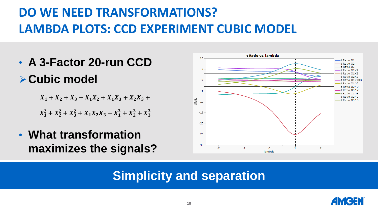## **DO WE NEED TRANSFORMATIONS? LAMBDA PLOTS: CCD EXPERIMENT CUBIC MODEL**

• **A 3-Factor 20-run CCD** ➢**Cubic model**

 $X_1 + X_2 + X_3 + X_1 X_2 + X_1 X_3 + X_2 X_3 +$ 

 $X_1^2 + X_2^2 + X_3^2 + X_1X_2X_3 + X_1^3 + X_2^3 + X_3^3$ 

• **What transformation maximizes the signals?**



#### **Simplicity and separation**

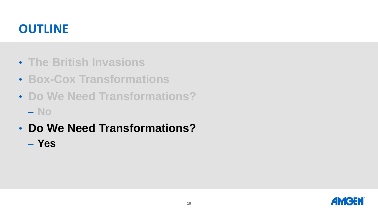- **The British Invasions**
- **Box-Cox Transformations**
- **Do We Need Transformations?**
	- **No**
- **Do We Need Transformations?**
	- **Yes**